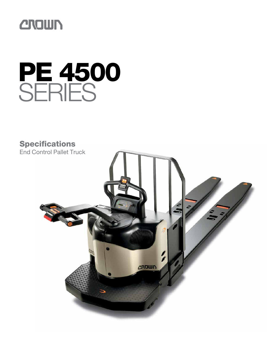

# PE 4500 **SERIES**

**Specifications** End Control Pallet Truck

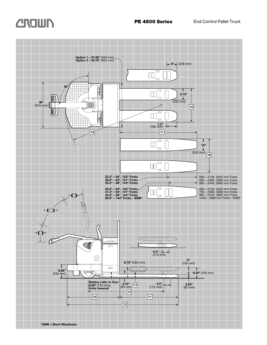# **CROWN**<br>**PE 4500 Series** End Control Pallet Truck

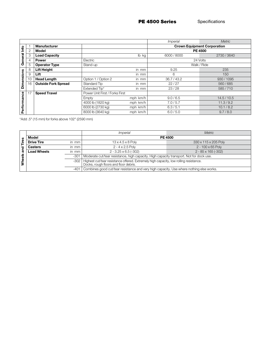PE 4500 Series Specifications

|                   |    |                            |                                |          | <i><b>Imperial</b></i>             | Metric      |  |  |  |  |  |
|-------------------|----|----------------------------|--------------------------------|----------|------------------------------------|-------------|--|--|--|--|--|
|                   |    | <b>Manufacturer</b>        |                                |          | <b>Crown Equipment Corporation</b> |             |  |  |  |  |  |
| <u>o</u>          | 2  | Model                      |                                |          | <b>PE 4500</b>                     |             |  |  |  |  |  |
| General           | 3  | <b>Load Capacity</b>       |                                | lb kg    | 6000 / 8000                        | 2730/3640   |  |  |  |  |  |
|                   | 4  | <b>Power</b>               | Electric                       |          |                                    | 24 Volts    |  |  |  |  |  |
|                   | 5  | <b>Operator Type</b>       | Stand-up                       |          |                                    | Walk / Ride |  |  |  |  |  |
|                   | 8  | <b>Lift Height</b>         |                                | in mm    | 9.25                               | 235         |  |  |  |  |  |
|                   | 9  | Lift                       |                                | in mm    | 6                                  | 150         |  |  |  |  |  |
|                   | 10 | <b>Head Length</b>         | Option 1 / Option 2            | in mm    | 36.7 / 43.2                        | 930/1095    |  |  |  |  |  |
| <b>Dimensions</b> | 16 | <b>Outside Fork Spread</b> | Standard Tip                   | in mm    | 22/27                              | 560/685     |  |  |  |  |  |
|                   |    |                            | Extended Tip*                  | in mm    | 23/28                              | 585/710     |  |  |  |  |  |
|                   | 17 | <b>Speed Travel</b>        | Power Unit First / Forks First |          |                                    |             |  |  |  |  |  |
|                   |    |                            | Empty                          | mph km/h | 9.0/6.5                            | 14.5/10.5   |  |  |  |  |  |
|                   |    |                            | 4000 lb (1820 kg)              | mph km/h | 7.0/5.7                            | 11.3/9.2    |  |  |  |  |  |
| Performance       |    |                            | 6000 lb (2730 kg)              | mph km/h | 6.3/5.1                            | 10.1 / 8.2  |  |  |  |  |  |
|                   |    |                            | 8000 lb (3640 kg)              | mph km/h | 6.0 / 5.0                          | 9.7/8.0     |  |  |  |  |  |

\*Add .5" (15 mm) for forks above 102" (2590 mm)

|        |                             |                                                                                         | <i>Imperial</i>                                                                                                                | <b>Metric</b>        |  |  |  |  |  |
|--------|-----------------------------|-----------------------------------------------------------------------------------------|--------------------------------------------------------------------------------------------------------------------------------|----------------------|--|--|--|--|--|
| s      | Model                       |                                                                                         | <b>PE 4500</b>                                                                                                                 |                      |  |  |  |  |  |
| ا ≅.   | <b>Drive Tire</b>           | in mm                                                                                   | $13 \times 4.5 \times 8$ Poly                                                                                                  | 330 x 115 x 205 Poly |  |  |  |  |  |
| ਹ      | <b>Casters</b>              | in mm                                                                                   | $2 - 4 \times 2.5$ Poly                                                                                                        | 2 - 100 x 65 Poly    |  |  |  |  |  |
|        | <b>Load Wheels</b><br>in mm |                                                                                         | $2 - 85 \times 165 (-302)$<br>$2 - 3.25 \times 6.5 (-302)$                                                                     |                      |  |  |  |  |  |
|        |                             | -301                                                                                    | Moderate cut/tear resistance, high capacity. High capacity transport. Not for dock use.                                        |                      |  |  |  |  |  |
| Wheels |                             | $-302$                                                                                  | Highest cut/tear resistance offered. Extremely high capacity, low rolling resistance.<br>Docks, rough floors and floor debris. |                      |  |  |  |  |  |
|        |                             | Combines good cut/tear resistance and very high capacity. Use where nothing else works. |                                                                                                                                |                      |  |  |  |  |  |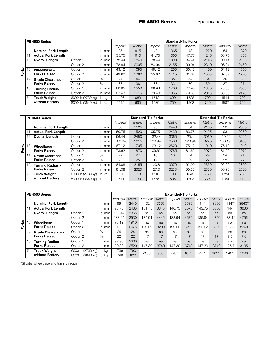PE 4500 Series Specifications

|       | PE 4500 Series |                            |                   |                                 |                 | <b>Standard-Tip Forks</b> |                 |               |                 |               |                 |               |  |  |  |
|-------|----------------|----------------------------|-------------------|---------------------------------|-----------------|---------------------------|-----------------|---------------|-----------------|---------------|-----------------|---------------|--|--|--|
|       |                |                            |                   |                                 | <i>Imperial</i> | <b>Metric</b>             | <i>Imperial</i> | <b>Metric</b> | <i>Imperial</i> | <b>Metric</b> | <i>Imperial</i> | <b>Metric</b> |  |  |  |
|       |                | <b>Nominal Fork Length</b> |                   | in mm                           | 36              | 915                       | 42              | 1065          | 48              | 1220          | 54              | 1370          |  |  |  |
|       | 11             | <b>Actual Fork Length</b>  |                   | in mm                           | 35.75           | 910                       | 41.75           | 1060          | 47.75           | 1215          | 53.75           | 1365          |  |  |  |
|       | 12             | <b>Overall Length</b>      | Option 1          | in mm                           | 72.44           | 1840                      | 78.44           | 1990          | 84.44           | 2145          | 90.44           | 2295          |  |  |  |
|       |                |                            | Option 2          | in mm                           | 78.94           | 2005                      | 84.94           | 2155          | 90.94           | 2310          | 96.94           | 2460          |  |  |  |
| Forks | 13             | Wheelbase -                | Option 1          | in mm                           | 43.12           | 1095                      | 49.12           | 1250          | 55.12           | 1400          | 61.12           | 1550          |  |  |  |
|       |                | <b>Forks Raised</b>        | Option 2          | in mm                           | 49.62           | 1260                      | 55.62           | 1415          | 61.62           | 1565          | 67.62           | 1720          |  |  |  |
|       | 14             | <b>Grade Clearance -</b>   | Option 1          | %                               | 44              | 44                        | 38              | 38            | 34              | 34            | 30              | 30            |  |  |  |
|       |                | <b>Forks Raised</b>        | Option 2          | %                               | 38              | 38                        | 33              | 33            | 30              | 30            | 27              | 27            |  |  |  |
|       | 15             | <b>Turning Radius-</b>     | Option 1          | in mm                           | 60.95           | 1550                      | 66.93           | 1700          | 72.90           | 1850          | 78.88           | 2005          |  |  |  |
|       |                | <b>Forks Raised</b>        | Option 2          | in mm                           | 67.43           | 1715                      | 73.40           | 1865          | 79.38           | 2015          | 85.38           | 2170          |  |  |  |
|       | $\overline{7}$ | <b>Truck Weight</b>        | 6000 lb (2730 kg) | lb ka                           | 1496            | 680                       | 1512            | 690           | 1528            | 700           | 1544            | 700           |  |  |  |
|       |                | without Battery            | 8000 lb (3640 kg) | $\mathsf{I}^{\mathsf{b}}$<br>ka | 1515            | 690                       | 1539            | 700           | 1563            | 710           | 1587            | 720           |  |  |  |

|       |                | PE 4500 Series                                  |                   |         |                 | <b>Standard-Tip Forks</b> |                 | <b>Extended-Tip Forks</b> |          |               |                 |        |  |
|-------|----------------|-------------------------------------------------|-------------------|---------|-----------------|---------------------------|-----------------|---------------------------|----------|---------------|-----------------|--------|--|
|       |                |                                                 |                   |         | <i>Imperial</i> | <b>Metric</b>             | <i>Imperial</i> | Metric                    | Imperial | <b>Metric</b> | <i>Imperial</i> | Metric |  |
|       |                | <b>Nominal Fork Length</b>                      |                   | in $mm$ | 60              | 1525                      | 96              | 2440                      | 84       | 2135          | 93              | 2360   |  |
|       | 1 <sup>1</sup> | <b>Actual Fork Length</b>                       |                   | in mm   | 59.75           | 1520                      | 95.75           | 2430                      | 83.75    | 2125          | 93              | 2360   |  |
|       | 12             | <b>Overall Length</b>                           | Option 1          | in mm   | 96.44           | 2450                      | 132.44          | 3365                      | 120.44   | 3060          | 129.69          | 3295   |  |
|       |                |                                                 | Option 2          | in mm   | 102.94          | 2615                      | 138.94          | 3530                      | 126.94   | 3225          | 136.19          | 3460   |  |
| Forks | 13             | Wheelbase-<br><b>Forks Raised</b>               | Option 1          | in mm   | 67.12           | 1705                      | 103.12          | 2620                      | 75.12    | 1910          | 75.12           | 1910   |  |
|       |                |                                                 | Option 2          | in mm   | 73.62           | 1870                      | 109.62          | 2785                      | 81.62    | 2075          | 81.62           | 2075   |  |
|       | 14             | <b>Grade Clearance -</b><br><b>Forks Raised</b> | Option 1          | %       | 27              | 27                        | 18              | 18                        | 24       | 24            | 24              | 24     |  |
|       |                |                                                 | Option 2          | %       | 25              | 25                        | 17              | 17                        | 22       | 22            | 22              | 22     |  |
|       | 15             | <b>Turning Radius-</b><br><b>Forks Raised</b>   | Option 1          | in mm   | 84.88           | 2155                      | 120.8           | 3070                      | 92.90    | 2360          | 92.90           | 2360   |  |
|       |                |                                                 | Option 2          | in mm   | 91.38           | 2320                      | 127.3           | 3235                      | 99.30    | 2520          | 99.30           | 2520   |  |
|       | . 7            | <b>Truck Weight</b>                             | 6000 lb (2730 kg) | lb kg   | 1560            | 710                       | 1710            | 780                       | 1643     | 750           | 1724            | 780    |  |
|       |                | without Battery                                 | 8000 lb (3640 kg) | lb ka   | 1611            | 730                       | 1775            | 805                       | 1703     | 775           | 1784            | 810    |  |

|       | PE 4500 Series |                            |                   |           |                 | <b>Extended-Tip Forks</b> |                 |               |                        |        |                        |        |                        |               |  |
|-------|----------------|----------------------------|-------------------|-----------|-----------------|---------------------------|-----------------|---------------|------------------------|--------|------------------------|--------|------------------------|---------------|--|
|       |                |                            |                   |           | <i>Imperial</i> | <b>Metric</b>             | <i>Imperial</i> | <b>Metric</b> | <i><b>Imperial</b></i> | Metric | <i><b>Imperial</b></i> | Metric | <i><b>Imperial</b></i> | <b>Metric</b> |  |
|       |                | <b>Nominal Fork Length</b> |                   | in mm     | 96              | 2440                      | 132             | 3355          | 141                    | 3580   | 144                    | 3660   | $144**$                | 3660**        |  |
|       |                | <b>Actual Fork Length</b>  |                   | in mm     | 95.75           | 2430                      | 131.75          | 3345          | 140.75                 | 3575   | 143.75                 | 3650   | 144                    | 3660          |  |
|       | 12             | <b>Overall Length</b>      | Option 1          | in mm     | 132.44          | 3365                      | na              | na            | na                     | na     | na                     | na     | na                     | na            |  |
|       |                |                            | Option 2          | in mm     | 138.94          | 3530                      | 174.94          | 4445          | 183.94                 | 4670   | 186.94                 | 4750   | 187.19                 | 4755          |  |
| Forks | 13             | Wheelbase -                | Option 1          | in mm     | 75.12           | 1910                      | na              | na            | na                     | na     | na                     | na     | na                     | na            |  |
|       |                | <b>Forks Raised</b>        | Option 2          | in mm     | 81.62           | 2075                      | 129.62          | 3290          | 129.62                 | 3290   | 129.62                 | 3290   | 107.8                  | 2740          |  |
|       | 14             | Grade Clearance -          | Option 1          | %         | 24              | 24                        | na              | na            | na                     | na     | na                     | na     | na                     | na            |  |
|       |                | <b>Forks Raised</b>        | Option 2          | %         | 22              | 22                        | 17              | 17            | 17                     | 17     | 7،                     | 17     | 7.6                    | 7.6           |  |
|       | 15             | <b>Turning Radius-</b>     | Option 1          | in mm     | 92.90           | 2360                      | na              | na            | na                     | na     | na                     | na     | na                     | na            |  |
|       |                | <b>Forks Raised</b>        | Option 2          | in mm     | 99.30           | 2520                      | 147.30          | 3740          | 147.30                 | 3740   | 147.30                 | 3740   | 125.7                  | 3195          |  |
|       |                | <b>Truck Weight</b>        | 6000 lb (2730 kg) | lb kg     | 1739            | 790                       | 2156            | 980           | 2237                   | 1015   | 2252                   | 1025   | 2401                   | 1090          |  |
|       |                | without Battery            | 8000 lb (3640 kg) | lb.<br>ka | 1799            | 820                       |                 |               |                        |        |                        |        |                        |               |  |

\*\*Shorter wheelbase and turning radius.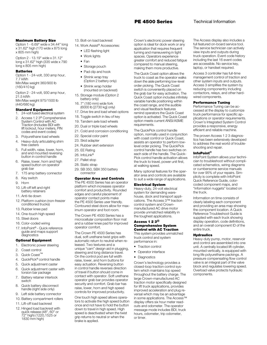# **PE 4500 Series** Technical Information

### Maximum Battery Size

Option 1 - 6.69" wide x 34.44" long x 31.62" high (170 wide x 875 long x 805 mm high)

Option 2 - 13.19" wide x 31.12" long x 31.62" high (335 wide x 790 long x 805 mm high)

### **Batteries**

(160/410 kg)

Option 1 - 24-volt, 330 amp hour, 7.7 kWh Min/Max weight 360/900 lb

Option 2 - 24-volt, 930 amp hour, 21.5 kWh Min/Max weight 975/1500 lb (440/680 kg)

# Standard Equipment

- 1. 24-volt fused electrical system
- 2. Access 1 2 3® Comprehensive System Control with AC Traction (Includes BDI with lift lockout, hour meters, PIN codes and event codes)
- 3. Polyurethane load wheels
- 4. Heavy-duty articulating shim free casters
- 5. Full width, raise, lower, horn, and end mounted reversing button in control handle
- 6. Raise, lower, horn and high speed button on operator grab bar
- 7. 175 amp battery connector
- 8. Key switch
- 9. Horn
- 10. Lift-off left and right battery retainers
- 11. Anti-tie down
- 12. Platform cushion (non-freezer conditioned trucks)
- 13. Rubber knee pad
- 14. One-touch high speed
- 15. Steel doors
- 16. Color-coded wiring
- 17. InfoPoint® Quick reference guide and maps support diagnostics

### Optional Equipment

- 1. Electronic power steering
- 2. Coast control
- 3. Quick Coast™
- 4. QuickPick® control handle
- 5. Quick adjustment caster
- 6. Quick adjustment caster with torsion bar package
- 7. Battery retainer interlock switch
- 8. Quick battery disconnect handle (right side only)
- 9. Left side battery connector
- 10. Battery compartment rollers
- 11. Lift-off load backrest
- 12. Hinged load backrest with quick release (48", 60" or 72" high) (1220,1525 or 1830 mm high)
- 13. Bolt-on load backrest
- 14. Work Assist® Accessories:
	- LED flashing light
	- Work lights
	- Fan
	- Storage pouch
	- Pad clip and hook
	- Shrink wrap tray
	- (Option 2 battery only) • Shrink wrap holder
- (mounted on backrest) 15. Storage module (Option 2
- battery only)
- 16. 7" (180 mm) wide fork (6000 lb [2730 kg] only)
- 17. Drive tire and load wheel options
- 18. Toggle switch in lieu of key
- 19. Tandem axle load wheels
- 20. Dual or triple load wheels
- 21. Cold and corrosion conditioning
- 22. Special color paint
- 23. Skid adapter
- 24. Rubber skirt extension
- 25. EE Rating
- 26. InfoLink®
- 27. Pallet stop
- 28. Static strap
- 29. SB 350, SBX 350 battery connector

### Operator Area and Controls

The PE 4500 Series has an operator platform which increases operator comfort and productivity. Rounded edges and careful placement of operator contact points make the PE 4500 Series user friendly. Contoured steel doors allow for maximum operator and foot room.

The Crown PE 4500 Series has a microcellular composition floor mat and a rubber knee pad for improved operator comfort.

The Crown PE 4500 Series has dual, soft urethane twist grips with automatic return to neutral when released. Two textures and a unique "cam" design aid in plugging, steering and long distance travel. On the control pod are full width raise, lower, and horn buttons for easy actuation. Reversing button in control handle reverses direction of travel if button should come in contact with operator. Soft urethane operator grab bar provides operator security and comfort. Grab bar has raise, lower, horn and high speed controls for improved productivity.

One touch high speed allows operators to activate the high speed button once and not have to hold the button down to travel in high speed. High speed is deactivated when the twist grip returns to neutral or when the brake is applied.

Crown's electronic power steering option is ideal for dock work or any application that requires frequent turning and maneuvering in tight spaces. Operators experience greater comfort and reduced fatigue compared to manual steering, making them more productive.

The Quick Coast option allows the truck to coast as the operator walks down the aisle performing low-level order picking. The Quick Coast switch is conveniently placed on the grab bar for easy activation. The Quick Coast option includes infinitely variable handle positioning within the coast range, and the audible and visual feedback features remind operators the Quick Coast option is activated. The Quick Coast option meets current ANSI/ASME requirements.

The QuickPick control handle option, normally used in conjunction with coast control or Quick Coast, assists an operator to perform lowlevel order picking. The QuickPick control handle has two switches on each side of the handle. The Quick-Pick control handle activation allows the truck to travel, power unit first, at walking speed.

Many optional features for the operator area and controls are available to suit a wide range of applications.

### Electrical System

Heavy-duty, 24-volt electrical system for demanding warehouse, dock and transport applications. The Access 3™ traction control system and Crownmanufactured AC drive motor provide unmatched reliability in the toughest applications.

### Access 1 2 3 $^\circledR$ Comprehensive System Control with AC Traction This system provides unmatched

truck control and system performance in:

- Traction control
- Operator interface
- Diagnostics

Crown's technology provides a closed-loop traction control system which maintains top speed throughout the battery charge. The large Crown-manufactured AC traction motor specifically designed for lift truck applications, provides improved acceleration and plug reversal which may be an advantage in some applications. The Access™ display offers six hour meter readouts and odometer. The operator message mode includes BDI, truck hours, odometer, trip odometer, or timer.

The Access display also includes a full featured on-board service tool. The service technician can actively view inputs and outputs during truck operation. Event code history including the last 16 event codes are accessible. No service key, laptop, or handset required.

Access 3 controller has full-time management control of traction and other system inputs and outputs. Access 3 simplifies the system by reducing componentry including contactors, relays, and other hardwired components.

### Performance Tuning

Performance Tuning can be accessed at the display to customize truck performance for specific applications or operator requirements. Crown's Integrated System Control provides a responsive, energy efficient and reliable machine.

The proven Access 1 2 3 diagnostics has been extensively developed to address the real world of troubleshooting and repair.

### InfoPoint®

InfoPoint System allows your technician to troubleshoot without complicated schematics, wiring diagrams or cumbersome service manuals for over 95% of your repairs. Simplicity is complete with InfoPoint Quick Reference Guide, colorcoded component maps, and "information nuggets" located on the truck.

Information on time consists of clearly labeling each component and providing an area map showing the component location. A Quick Reference Troubleshoot Guide is supplied with each truck showing display operation, code definitions, and an overall component ID of the entire truck.

### **Hydraulics**

Heavy-duty pump, motor, reservoir and control are assembled into one unit. A centrally located lift cylinder, mounted vertically, is equipped with long life polyurethane packings. A pressure compensating flow control valve is an integral part of the valve block and regulates lowering speed. Overload valve protects hydraulic components.